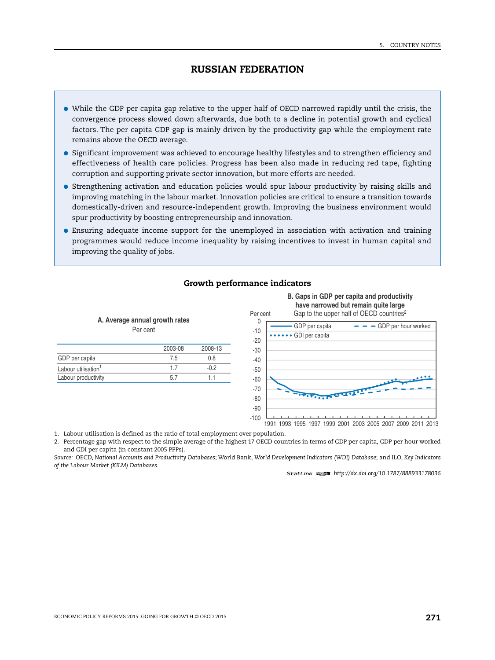- While the GDP per capita gap relative to the upper half of OECD narrowed rapidly until the crisis, the convergence process slowed down afterwards, due both to a decline in potential growth and cyclical factors. The per capita GDP gap is mainly driven by the productivity gap while the employment rate remains above the OECD average.
- Significant improvement was achieved to encourage healthy lifestyles and to strengthen efficiency and effectiveness of health care policies. Progress has been also made in reducing red tape, fighting corruption and supporting private sector innovation, but more efforts are needed.
- Strengthening activation and education policies would spur labour productivity by raising skills and improving matching in the labour market. Innovation policies are critical to ensure a transition towards domestically-driven and resource-independent growth. Improving the business environment would spur productivity by boosting entrepreneurship and innovation.
- Ensuring adequate income support for the unemployed in association with activation and training programmes would reduce income inequality by raising incentives to invest in human capital and improving the quality of jobs.

#### **Growth performance indicators**

2003-08 2008-13 GDP per capita and a contract of the capital contract of the capital contract of the contract of the contract of the contract of the contract of the contract of the contract of the contract of the contract of the contract Labour utilisation<sup>1</sup> 1.7 -0.2 Labour productivity 5.7 1.1 **A. Average annual growth rates** Per cent -70 -30 -20 -10 Per cent

# **B. Gaps in GDP per capita and productivity have narrowed but remain quite large**



1991 1993 1995 1997 1999 2001 2003 2005 2007 2009 2011 2013

1. Labour utilisation is defined as the ratio of total employment over population.

2. Percentage gap with respect to the simple average of the highest 17 OECD countries in terms of GDP per capita, GDP per hour worked and GDI per capita (in constant 2005 PPPs).

*Source:* OECD, *National Accounts and Productivity Databases*; World Bank, *World Development Indicators (WDI) Database*; and ILO, *Key Indicators of the Labour Market (KILM) Databases*.

1 2 *<http://dx.doi.org/10.1787/888933178036>*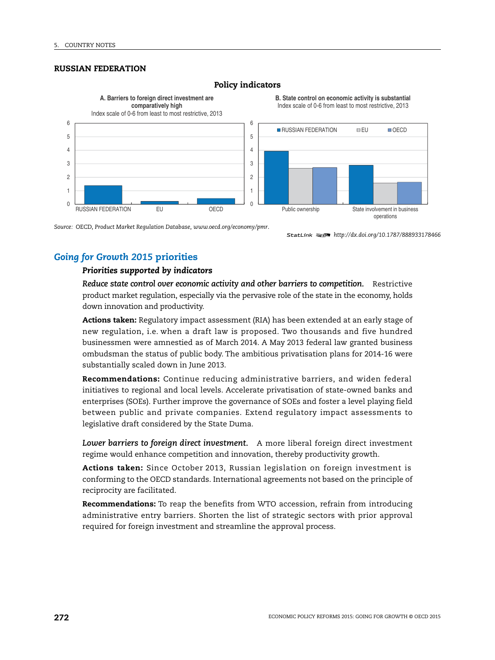

#### **Policy indicators**

*Source:* OECD, *Product Market Regulation Database*, *[www.oecd.org/economy/pmr](http://www.oecd.org/economy/pmr)*.

1 2 *<http://dx.doi.org/10.1787/888933178466>*

# *Going for Growth 2015* **priorities**

### *Priorities supported by indicators*

*Reduce state control over economic activity and other barriers to competition.* Restrictive product market regulation, especially via the pervasive role of the state in the economy, holds down innovation and productivity.

**Actions taken:** Regulatory impact assessment (RIA) has been extended at an early stage of new regulation, i.e. when a draft law is proposed. Two thousands and five hundred businessmen were amnestied as of March 2014. A May 2013 federal law granted business ombudsman the status of public body. The ambitious privatisation plans for 2014-16 were substantially scaled down in June 2013.

**Recommendations:** Continue reducing administrative barriers, and widen federal initiatives to regional and local levels. Accelerate privatisation of state-owned banks and enterprises (SOEs). Further improve the governance of SOEs and foster a level playing field between public and private companies. Extend regulatory impact assessments to legislative draft considered by the State Duma.

*Lower barriers to foreign direct investment.* A more liberal foreign direct investment regime would enhance competition and innovation, thereby productivity growth.

**Actions taken:** Since October 2013, Russian legislation on foreign investment is conforming to the OECD standards. International agreements not based on the principle of reciprocity are facilitated.

**Recommendations:** To reap the benefits from WTO accession, refrain from introducing administrative entry barriers. Shorten the list of strategic sectors with prior approval required for foreign investment and streamline the approval process.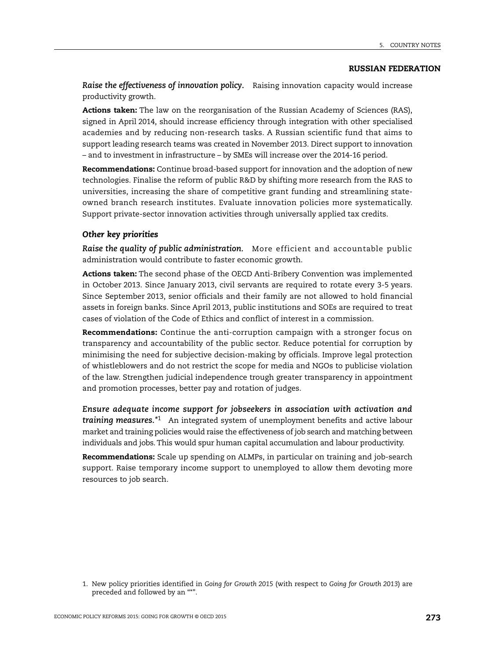*Raise the effectiveness of innovation policy.* Raising innovation capacity would increase productivity growth.

**Actions taken:** The law on the reorganisation of the Russian Academy of Sciences (RAS), signed in April 2014, should increase efficiency through integration with other specialised academies and by reducing non-research tasks. A Russian scientific fund that aims to support leading research teams was created in November 2013. Direct support to innovation – and to investment in infrastructure – by SMEs will increase over the 2014-16 period.

**Recommendations:** Continue broad-based support for innovation and the adoption of new technologies. Finalise the reform of public R&D by shifting more research from the RAS to universities, increasing the share of competitive grant funding and streamlining stateowned branch research institutes. Evaluate innovation policies more systematically. Support private-sector innovation activities through universally applied tax credits.

### *Other key priorities*

*Raise the quality of public administration.* More efficient and accountable public administration would contribute to faster economic growth.

**Actions taken:** The second phase of the OECD Anti-Bribery Convention was implemented in October 2013. Since January 2013, civil servants are required to rotate every 3-5 years. Since September 2013, senior officials and their family are not allowed to hold financial assets in foreign banks. Since April 2013, public institutions and SOEs are required to treat cases of violation of the Code of Ethics and conflict of interest in a commission.

**Recommendations:** Continue the anti-corruption campaign with a stronger focus on transparency and accountability of the public sector. Reduce potential for corruption by minimising the need for subjective decision-making by officials. Improve legal protection of whistleblowers and do not restrict the scope for media and NGOs to publicise violation of the law. Strengthen judicial independence trough greater transparency in appointment and promotion processes, better pay and rotation of judges.

*Ensure adequate income support for jobseekers in association with activation and training measures.\**<sup>1</sup> An integrated system of unemployment benefits and active labour market and training policies would raise the effectiveness of job search and matching between individuals and jobs. This would spur human capital accumulation and labour productivity.

**Recommendations:** Scale up spending on ALMPs, in particular on training and job-search support. Raise temporary income support to unemployed to allow them devoting more resources to job search.

<sup>1.</sup> New policy priorities identified in *Going for Growth 2015* (with respect to *Going for Growth 2013*) are preceded and followed by an "\*".